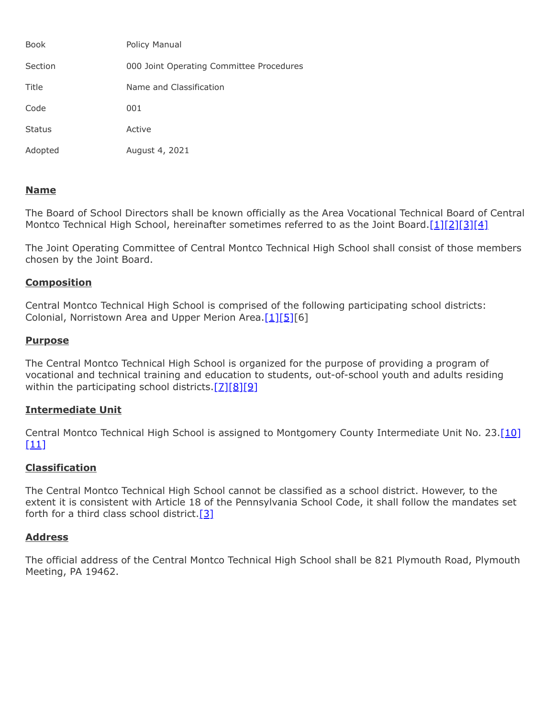| <b>Book</b>   | Policy Manual                            |
|---------------|------------------------------------------|
| Section       | 000 Joint Operating Committee Procedures |
| Title         | Name and Classification                  |
| Code          | 001                                      |
| <b>Status</b> | Active                                   |
| Adopted       | August 4, 2021                           |

# **Name**

The Board of School Directors shall be known officially as the Area Vocational Technical Board of Central Montco Technical High School, hereinafter sometimes referred to as the Joint Board.[\[1\]](http://www.legis.state.pa.us/cfdocs/legis/LI/uconsCheck.cfm?txtType=HTM&yr=1949&sessInd=0&smthLwInd=0&act=14&chpt=18&sctn=7&subsctn=0)[\[2\]](http://www.legis.state.pa.us/cfdocs/legis/LI/uconsCheck.cfm?txtType=HTM&yr=1949&sessInd=0&smthLwInd=0&act=14&chpt=18&sctn=40&subsctn=1)[\[3\]](http://www.legis.state.pa.us/cfdocs/legis/LI/uconsCheck.cfm?txtType=HTM&yr=1949&sessInd=0&smthLwInd=0&act=14&chpt=18&sctn=50&subsctn=1)[\[4\]](http://www.legis.state.pa.us/cfdocs/legis/LI/uconsCheck.cfm?txtType=HTM&yr=1949&sessInd=0&smthLwInd=0&act=14&chpt=18&sctn=50&subsctn=3)

The Joint Operating Committee of Central Montco Technical High School shall consist of those members chosen by the Joint Board.

# **Composition**

Central Montco Technical High School is comprised of the following participating school districts: Colonial, Norristown Area and Upper Merion Area.<sup>[\[1\]](http://www.legis.state.pa.us/cfdocs/legis/LI/uconsCheck.cfm?txtType=HTM&yr=1949&sessInd=0&smthLwInd=0&act=14&chpt=18&sctn=7&subsctn=0)[\[5\]\[](http://pacodeandbulletin.gov/Display/pacode?file=/secure/pacode/data/022/chapter4/s4.35.html&d=reduce)6]</sup>

## **Purpose**

The Central Montco Technical High School is organized for the purpose of providing a program of vocational and technical training and education to students, out-of-school youth and adults residing within the participating school districts.[\[7\]](http://www.legis.state.pa.us/cfdocs/legis/LI/uconsCheck.cfm?txtType=HTM&yr=1949&sessInd=0&smthLwInd=0&act=14&chpt=5&sctn=2&subsctn=0)[\[8\]](http://www.legis.state.pa.us/cfdocs/legis/LI/uconsCheck.cfm?txtType=HTM&yr=1949&sessInd=0&smthLwInd=0&act=14&chpt=18&sctn=41&subsctn=0)[\[9\]](http://pacodeandbulletin.gov/Display/pacode?file=/secure/pacode/data/022/chapter4/s4.3.html&d=reduce)

# **Intermediate Unit**

Central Montco Technical High School is assigned to Montgomery County Intermediate Unit No. 23.<sup>[10]</sup>  $[11]$ 

# **Classification**

The Central Montco Technical High School cannot be classified as a school district. However, to the extent it is consistent with Article 18 of the Pennsylvania School Code, it shall follow the mandates set forth for a third class school district.  $[3]$ 

## **Address**

The official address of the Central Montco Technical High School shall be 821 Plymouth Road, Plymouth Meeting, PA 19462.